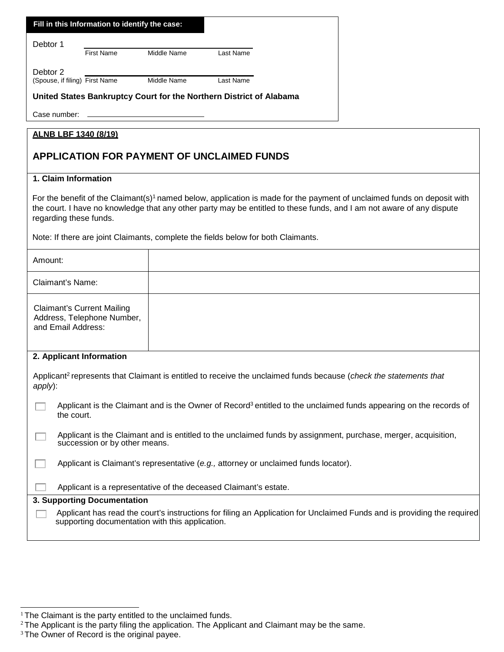| Fill in this Information to identify the case:                                                                                                                                                                                                                                         |             |           |  |  |  |
|----------------------------------------------------------------------------------------------------------------------------------------------------------------------------------------------------------------------------------------------------------------------------------------|-------------|-----------|--|--|--|
| Debtor 1                                                                                                                                                                                                                                                                               |             |           |  |  |  |
| <b>First Name</b>                                                                                                                                                                                                                                                                      | Middle Name | Last Name |  |  |  |
| Debtor 2<br>(Spouse, if filing) First Name                                                                                                                                                                                                                                             | Middle Name | Last Name |  |  |  |
| United States Bankruptcy Court for the Northern District of Alabama                                                                                                                                                                                                                    |             |           |  |  |  |
| Case number:                                                                                                                                                                                                                                                                           |             |           |  |  |  |
| <b>ALNB LBF 1340 (8/19)</b>                                                                                                                                                                                                                                                            |             |           |  |  |  |
| <b>APPLICATION FOR PAYMENT OF UNCLAIMED FUNDS</b>                                                                                                                                                                                                                                      |             |           |  |  |  |
| 1. Claim Information                                                                                                                                                                                                                                                                   |             |           |  |  |  |
| For the benefit of the Claimant(s) <sup>1</sup> named below, application is made for the payment of unclaimed funds on deposit with<br>the court. I have no knowledge that any other party may be entitled to these funds, and I am not aware of any dispute<br>regarding these funds. |             |           |  |  |  |
| Note: If there are joint Claimants, complete the fields below for both Claimants.                                                                                                                                                                                                      |             |           |  |  |  |
| Amount:                                                                                                                                                                                                                                                                                |             |           |  |  |  |
| <b>Claimant's Name:</b>                                                                                                                                                                                                                                                                |             |           |  |  |  |
| <b>Claimant's Current Mailing</b><br>Address, Telephone Number,<br>and Email Address:                                                                                                                                                                                                  |             |           |  |  |  |
| 2. Applicant Information                                                                                                                                                                                                                                                               |             |           |  |  |  |
| Applicant <sup>2</sup> represents that Claimant is entitled to receive the unclaimed funds because (check the statements that<br>apply):                                                                                                                                               |             |           |  |  |  |
| Applicant is the Claimant and is the Owner of Record <sup>3</sup> entitled to the unclaimed funds appearing on the records of<br>the court.                                                                                                                                            |             |           |  |  |  |
| Applicant is the Claimant and is entitled to the unclaimed funds by assignment, purchase, merger, acquisition,<br>succession or by other means.                                                                                                                                        |             |           |  |  |  |
| Applicant is Claimant's representative (e.g., attorney or unclaimed funds locator).                                                                                                                                                                                                    |             |           |  |  |  |
| Applicant is a representative of the deceased Claimant's estate.                                                                                                                                                                                                                       |             |           |  |  |  |
| <b>3. Supporting Documentation</b>                                                                                                                                                                                                                                                     |             |           |  |  |  |
| Applicant has read the court's instructions for filing an Application for Unclaimed Funds and is providing the required<br>supporting documentation with this application.                                                                                                             |             |           |  |  |  |
|                                                                                                                                                                                                                                                                                        |             |           |  |  |  |

<span id="page-0-0"></span> $1$  The Claimant is the party entitled to the unclaimed funds.

<span id="page-0-1"></span> $2$ The Applicant is the party filing the application. The Applicant and Claimant may be the same.

<span id="page-0-2"></span> $3$  The Owner of Record is the original payee.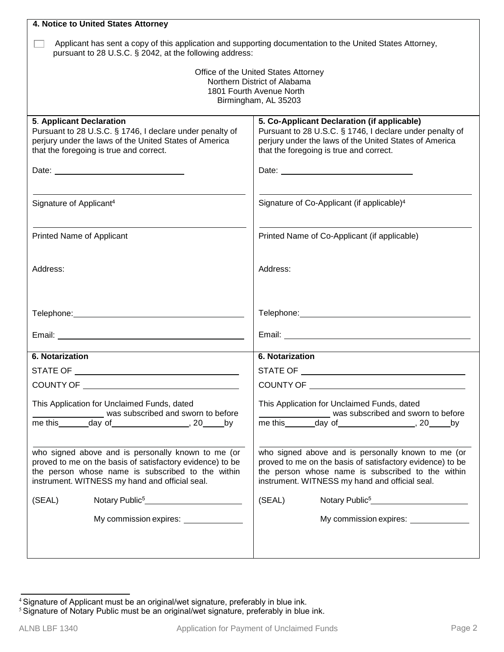| 4. Notice to United States Attorney                                                                                                                                                                                               |                                                                                                                                                                                                                                |  |  |  |  |
|-----------------------------------------------------------------------------------------------------------------------------------------------------------------------------------------------------------------------------------|--------------------------------------------------------------------------------------------------------------------------------------------------------------------------------------------------------------------------------|--|--|--|--|
| Applicant has sent a copy of this application and supporting documentation to the United States Attorney,<br>pursuant to 28 U.S.C. § 2042, at the following address:                                                              |                                                                                                                                                                                                                                |  |  |  |  |
| Office of the United States Attorney<br>Northern District of Alabama<br>1801 Fourth Avenue North<br>Birmingham, AL 35203                                                                                                          |                                                                                                                                                                                                                                |  |  |  |  |
| 5. Applicant Declaration<br>Pursuant to 28 U.S.C. § 1746, I declare under penalty of<br>perjury under the laws of the United States of America<br>that the foregoing is true and correct.<br>Date: <u>_______________________</u> | 5. Co-Applicant Declaration (if applicable)<br>Pursuant to 28 U.S.C. § 1746, I declare under penalty of<br>perjury under the laws of the United States of America<br>that the foregoing is true and correct.                   |  |  |  |  |
| Signature of Applicant <sup>4</sup>                                                                                                                                                                                               | Signature of Co-Applicant (if applicable) <sup>4</sup>                                                                                                                                                                         |  |  |  |  |
| Printed Name of Applicant                                                                                                                                                                                                         | Printed Name of Co-Applicant (if applicable)                                                                                                                                                                                   |  |  |  |  |
| Address:                                                                                                                                                                                                                          | Address:                                                                                                                                                                                                                       |  |  |  |  |
| Telephone: William Communication of the Communication of the Communication of the Communication of the Communication of the Communication of the Communication of the Communication of the Communication of the Communication     | Telephone: New York Changes and Changes and Changes and Changes and Changes and Changes and Changes and Changes and Changes and Changes and Changes and Changes and Changes and Changes and Changes and Changes and Changes an |  |  |  |  |
|                                                                                                                                                                                                                                   |                                                                                                                                                                                                                                |  |  |  |  |
| <b>6. Notarization</b>                                                                                                                                                                                                            | 6. Notarization                                                                                                                                                                                                                |  |  |  |  |
| STATE OF THE STATE OF THE STATE OF THE STATE OF THE STATE OF THE STATE OF THE STATE OF THE STATE OF THE STATE O                                                                                                                   | STATE OF $\_\_\_\_\_\_\_\_\_\_$                                                                                                                                                                                                |  |  |  |  |
| COUNTY OF                                                                                                                                                                                                                         | COUNTY OF _                                                                                                                                                                                                                    |  |  |  |  |
| This Application for Unclaimed Funds, dated<br>was subscribed and sworn to before                                                                                                                                                 | This Application for Unclaimed Funds, dated<br>was subscribed and sworn to before<br>me this _______day of _____________________, 20______by                                                                                   |  |  |  |  |
| who signed above and is personally known to me (or<br>proved to me on the basis of satisfactory evidence) to be<br>the person whose name is subscribed to the within<br>instrument. WITNESS my hand and official seal.            | who signed above and is personally known to me (or<br>proved to me on the basis of satisfactory evidence) to be<br>the person whose name is subscribed to the within<br>instrument. WITNESS my hand and official seal.         |  |  |  |  |
| (SEAL)<br>Notary Public <sup>5</sup>                                                                                                                                                                                              | Notary Public <sup>5</sup><br>(SEAL)                                                                                                                                                                                           |  |  |  |  |
| My commission expires: ______________                                                                                                                                                                                             |                                                                                                                                                                                                                                |  |  |  |  |

 $^4$ Signature of Applicant must be an original/wet signature, preferably in blue ink.

 $5$  Signature of Notary Public must be an original/wet signature, preferably in blue ink.